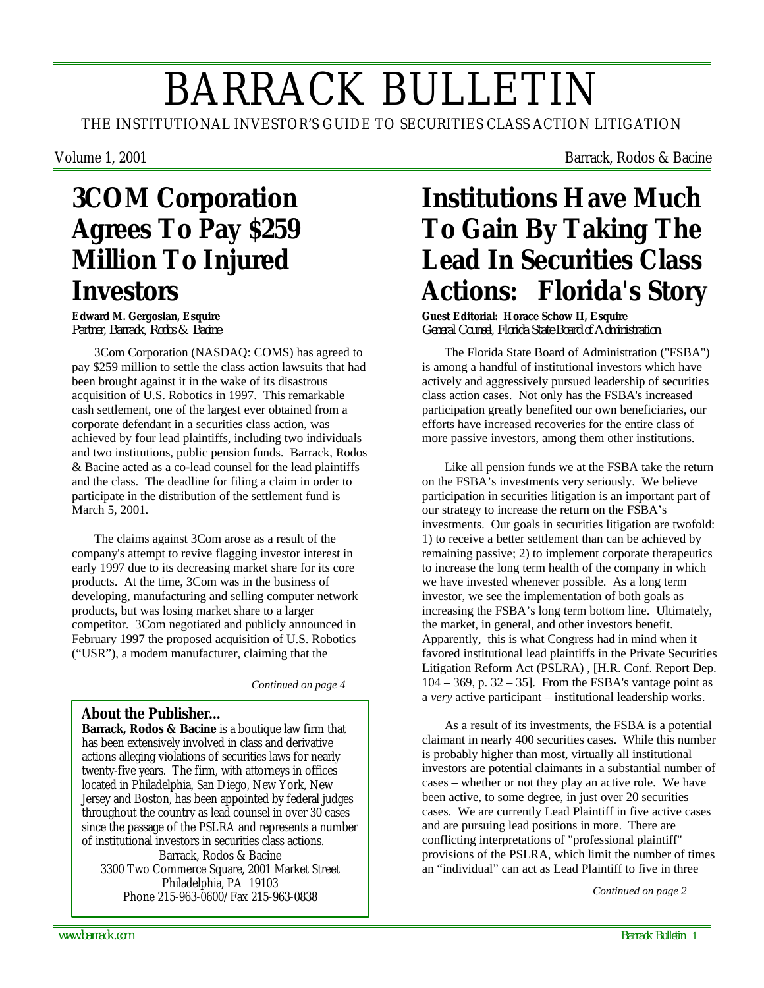# BARRACK BULLETIN

THE INSTITUTIONAL INVESTOR'S GUIDE TO SECURITIES CLASS ACTION LITIGATION

Volume 1, 2001 **Barrack, Rodos & Bacine** 

## **3COM Corporation Agrees To Pay \$259 Million To Injured Investors**

**Edward M. Gergosian, Esquire** *Partner, Barrack, Rodos & Bacine*

3Com Corporation (NASDAQ: COMS) has agreed to pay \$259 million to settle the class action lawsuits that had been brought against it in the wake of its disastrous acquisition of U.S. Robotics in 1997. This remarkable cash settlement, one of the largest ever obtained from a corporate defendant in a securities class action, was achieved by four lead plaintiffs, including two individuals and two institutions, public pension funds. Barrack, Rodos & Bacine acted as a co-lead counsel for the lead plaintiffs and the class. The deadline for filing a claim in order to participate in the distribution of the settlement fund is March 5, 2001.

The claims against 3Com arose as a result of the company's attempt to revive flagging investor interest in early 1997 due to its decreasing market share for its core products. At the time, 3Com was in the business of developing, manufacturing and selling computer network products, but was losing market share to a larger competitor. 3Com negotiated and publicly announced in February 1997 the proposed acquisition of U.S. Robotics ("USR"), a modem manufacturer, claiming that the

*Continued on page 4*

#### **About the Publisher…**

**Barrack, Rodos & Bacine** is a boutique law firm that has been extensively involved in class and derivative actions alleging violations of securities laws for nearly twenty-five years. The firm, with attorneys in offices located in Philadelphia, San Diego, New York, New Jersey and Boston, has been appointed by federal judges throughout the country as lead counsel in over 30 cases since the passage of the PSLRA and represents a number of institutional investors in securities class actions. Barrack, Rodos & Bacine 3300 Two Commerce Square, 2001 Market Street Philadelphia, PA 19103 Phone 215-963-0600/Fax 215-963-0838 *Continued on page 2*

## **Institutions Have Much To Gain By Taking The Lead In Securities Class Actions: Florida's Story**

**Guest Editorial: Horace Schow II, Esquire** *General Counsel, Florida State Board of Administration*

The Florida State Board of Administration ("FSBA") is among a handful of institutional investors which have actively and aggressively pursued leadership of securities class action cases. Not only has the FSBA's increased participation greatly benefited our own beneficiaries, our efforts have increased recoveries for the entire class of more passive investors, among them other institutions.

Like all pension funds we at the FSBA take the return on the FSBA's investments very seriously. We believe participation in securities litigation is an important part of our strategy to increase the return on the FSBA's investments. Our goals in securities litigation are twofold: 1) to receive a better settlement than can be achieved by remaining passive; 2) to implement corporate therapeutics to increase the long term health of the company in which we have invested whenever possible. As a long term investor, we see the implementation of both goals as increasing the FSBA's long term bottom line. Ultimately, the market, in general, and other investors benefit. Apparently, this is what Congress had in mind when it favored institutional lead plaintiffs in the Private Securities Litigation Reform Act (PSLRA) , [H.R. Conf. Report Dep.  $104 - 369$ , p.  $32 - 35$ . From the FSBA's vantage point as a *very* active participant – institutional leadership works.

As a result of its investments, the FSBA is a potential claimant in nearly 400 securities cases. While this number is probably higher than most, virtually all institutional investors are potential claimants in a substantial number of cases – whether or not they play an active role. We have been active, to some degree, in just over 20 securities cases. We are currently Lead Plaintiff in five active cases and are pursuing lead positions in more. There are conflicting interpretations of "professional plaintiff" provisions of the PSLRA, which limit the number of times an "individual" can act as Lead Plaintiff to five in three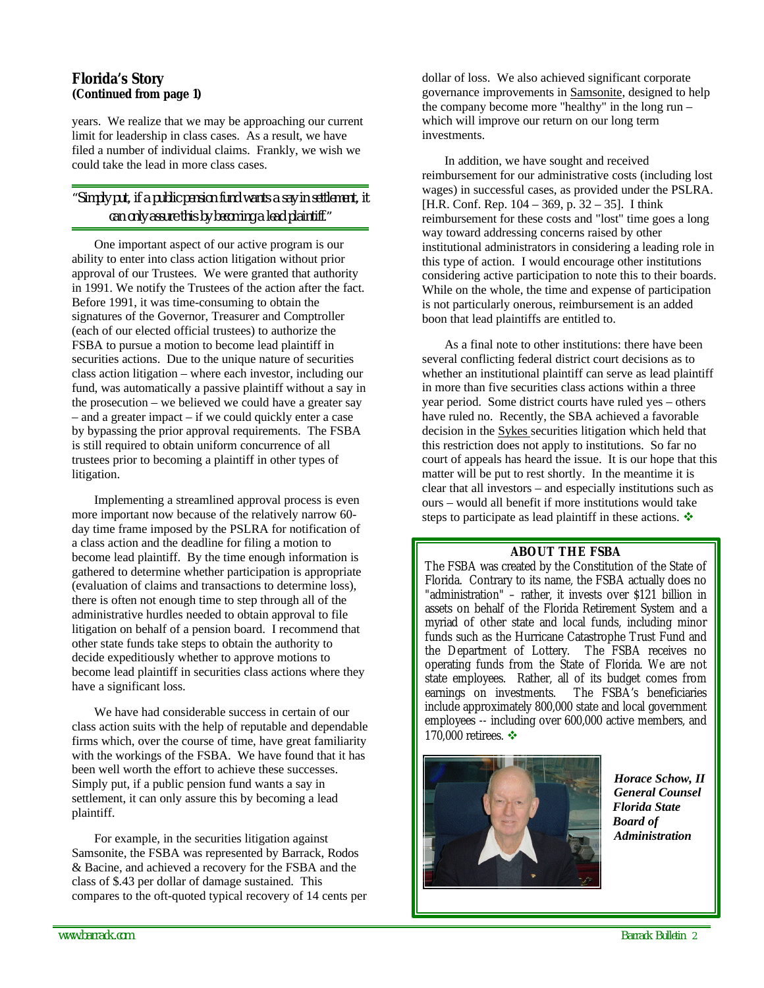#### *Florida's Story (Continued from page 1)*

years. We realize that we may be approaching our current limit for leadership in class cases. As a result, we have filed a number of individual claims. Frankly, we wish we could take the lead in more class cases.

#### *"Simply put, if a public pension fund wants a say in settlement, it can only assure this by becoming a lead plaintiff."*

One important aspect of our active program is our ability to enter into class action litigation without prior approval of our Trustees. We were granted that authority in 1991. We notify the Trustees of the action after the fact. Before 1991, it was time-consuming to obtain the signatures of the Governor, Treasurer and Comptroller (each of our elected official trustees) to authorize the FSBA to pursue a motion to become lead plaintiff in securities actions. Due to the unique nature of securities class action litigation – where each investor, including our fund, was automatically a passive plaintiff without a say in the prosecution – we believed we could have a greater say – and a greater impact – if we could quickly enter a case by bypassing the prior approval requirements. The FSBA is still required to obtain uniform concurrence of all trustees prior to becoming a plaintiff in other types of litigation.

Implementing a streamlined approval process is even more important now because of the relatively narrow 60 day time frame imposed by the PSLRA for notification of a class action and the deadline for filing a motion to become lead plaintiff. By the time enough information is gathered to determine whether participation is appropriate (evaluation of claims and transactions to determine loss), there is often not enough time to step through all of the administrative hurdles needed to obtain approval to file litigation on behalf of a pension board. I recommend that other state funds take steps to obtain the authority to decide expeditiously whether to approve motions to become lead plaintiff in securities class actions where they have a significant loss.

We have had considerable success in certain of our class action suits with the help of reputable and dependable firms which, over the course of time, have great familiarity with the workings of the FSBA. We have found that it has been well worth the effort to achieve these successes. Simply put, if a public pension fund wants a say in settlement, it can only assure this by becoming a lead plaintiff.

For example, in the securities litigation against Samsonite, the FSBA was represented by Barrack, Rodos & Bacine, and achieved a recovery for the FSBA and the class of \$.43 per dollar of damage sustained. This compares to the oft-quoted typical recovery of 14 cents per dollar of loss. We also achieved significant corporate governance improvements in Samsonite, designed to help the company become more "healthy" in the long run – which will improve our return on our long term investments.

In addition, we have sought and received reimbursement for our administrative costs (including lost wages) in successful cases, as provided under the PSLRA. [H.R. Conf. Rep. 104 – 369, p. 32 – 35]. I think reimbursement for these costs and "lost" time goes a long way toward addressing concerns raised by other institutional administrators in considering a leading role in this type of action. I would encourage other institutions considering active participation to note this to their boards. While on the whole, the time and expense of participation is not particularly onerous, reimbursement is an added boon that lead plaintiffs are entitled to.

As a final note to other institutions: there have been several conflicting federal district court decisions as to whether an institutional plaintiff can serve as lead plaintiff in more than five securities class actions within a three year period. Some district courts have ruled yes – others have ruled no. Recently, the SBA achieved a favorable decision in the Sykes securities litigation which held that this restriction does not apply to institutions. So far no court of appeals has heard the issue. It is our hope that this matter will be put to rest shortly. In the meantime it is clear that all investors – and especially institutions such as ours – would all benefit if more institutions would take steps to participate as lead plaintiff in these actions.  $\mathbf{\hat{*}}$ 

#### **ABOUT THE FSBA**

The FSBA was created by the Constitution of the State of Florida. Contrary to its name, the FSBA actually does no "administration" – rather, it invests over \$121 billion in assets on behalf of the Florida Retirement System and a myriad of other state and local funds, including minor funds such as the Hurricane Catastrophe Trust Fund and the Department of Lottery. The FSBA receives no operating funds from the State of Florida. We are not state employees. Rather, all of its budget comes from<br>earnings on investments. The FSBA's beneficiaries The FSBA's beneficiaries. include approximately 800,000 state and local government employees -- including over 600,000 active members, and 170,000 retirees.  $\cdot\cdot\cdot$ 



 *Horace Schow, II General Counsel Florida State Board of Administration*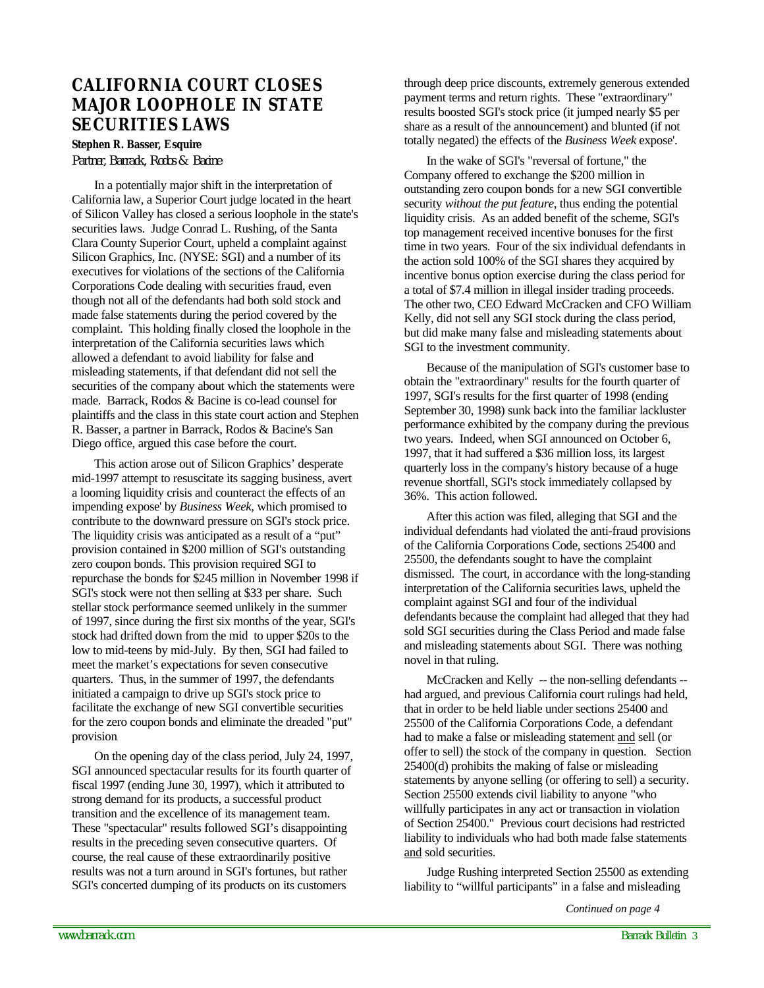#### **CALIFORNIA COURT CLOSES MAJOR LOOPHOLE IN STATE SECURITIES LAWS**

#### **Stephen R. Basser, Esquire**

*Partner, Barrack, Rodos & Bacine*

In a potentially major shift in the interpretation of California law, a Superior Court judge located in the heart of Silicon Valley has closed a serious loophole in the state's securities laws. Judge Conrad L. Rushing, of the Santa Clara County Superior Court, upheld a complaint against Silicon Graphics, Inc. (NYSE: SGI) and a number of its executives for violations of the sections of the California Corporations Code dealing with securities fraud, even though not all of the defendants had both sold stock and made false statements during the period covered by the complaint. This holding finally closed the loophole in the interpretation of the California securities laws which allowed a defendant to avoid liability for false and misleading statements, if that defendant did not sell the securities of the company about which the statements were made. Barrack, Rodos & Bacine is co-lead counsel for plaintiffs and the class in this state court action and Stephen R. Basser, a partner in Barrack, Rodos & Bacine's San Diego office, argued this case before the court.

This action arose out of Silicon Graphics' desperate mid-1997 attempt to resuscitate its sagging business, avert a looming liquidity crisis and counteract the effects of an impending expose' by *Business Week,* which promised to contribute to the downward pressure on SGI's stock price. The liquidity crisis was anticipated as a result of a "put" provision contained in \$200 million of SGI's outstanding zero coupon bonds. This provision required SGI to repurchase the bonds for \$245 million in November 1998 if SGI's stock were not then selling at \$33 per share. Such stellar stock performance seemed unlikely in the summer of 1997, since during the first six months of the year, SGI's stock had drifted down from the mid to upper \$20s to the low to mid-teens by mid-July. By then, SGI had failed to meet the market's expectations for seven consecutive quarters. Thus, in the summer of 1997, the defendants initiated a campaign to drive up SGI's stock price to facilitate the exchange of new SGI convertible securities for the zero coupon bonds and eliminate the dreaded "put" provision.

On the opening day of the class period, July 24, 1997, SGI announced spectacular results for its fourth quarter of fiscal 1997 (ending June 30, 1997), which it attributed to strong demand for its products, a successful product transition and the excellence of its management team. These "spectacular" results followed SGI's disappointing results in the preceding seven consecutive quarters. Of course, the real cause of these extraordinarily positive results was not a turn around in SGI's fortunes, but rather SGI's concerted dumping of its products on its customers

through deep price discounts, extremely generous extended payment terms and return rights. These "extraordinary" results boosted SGI's stock price (it jumped nearly \$5 per share as a result of the announcement) and blunted (if not totally negated) the effects of the *Business Week* expose'.

In the wake of SGI's "reversal of fortune," the Company offered to exchange the \$200 million in outstanding zero coupon bonds for a new SGI convertible security *without the put feature*, thus ending the potential liquidity crisis. As an added benefit of the scheme, SGI's top management received incentive bonuses for the first time in two years. Four of the six individual defendants in the action sold 100% of the SGI shares they acquired by incentive bonus option exercise during the class period for a total of \$7.4 million in illegal insider trading proceeds. The other two, CEO Edward McCracken and CFO William Kelly, did not sell any SGI stock during the class period, but did make many false and misleading statements about SGI to the investment community.

Because of the manipulation of SGI's customer base to obtain the "extraordinary" results for the fourth quarter of 1997, SGI's results for the first quarter of 1998 (ending September 30, 1998) sunk back into the familiar lackluster performance exhibited by the company during the previous two years. Indeed, when SGI announced on October 6, 1997, that it had suffered a \$36 million loss, its largest quarterly loss in the company's history because of a huge revenue shortfall, SGI's stock immediately collapsed by 36%. This action followed.

After this action was filed, alleging that SGI and the individual defendants had violated the anti-fraud provisions of the California Corporations Code, sections 25400 and 25500, the defendants sought to have the complaint dismissed. The court, in accordance with the long-standing interpretation of the California securities laws, upheld the complaint against SGI and four of the individual defendants because the complaint had alleged that they had sold SGI securities during the Class Period and made false and misleading statements about SGI. There was nothing novel in that ruling.

McCracken and Kelly -- the non-selling defendants - had argued, and previous California court rulings had held, that in order to be held liable under sections 25400 and 25500 of the California Corporations Code, a defendant had to make a false or misleading statement and sell (or offer to sell) the stock of the company in question. Section 25400(d) prohibits the making of false or misleading statements by anyone selling (or offering to sell) a security. Section 25500 extends civil liability to anyone "who willfully participates in any act or transaction in violation of Section 25400." Previous court decisions had restricted liability to individuals who had both made false statements and sold securities.

Judge Rushing interpreted Section 25500 as extending liability to "willful participants" in a false and misleading

*Continued on page 4*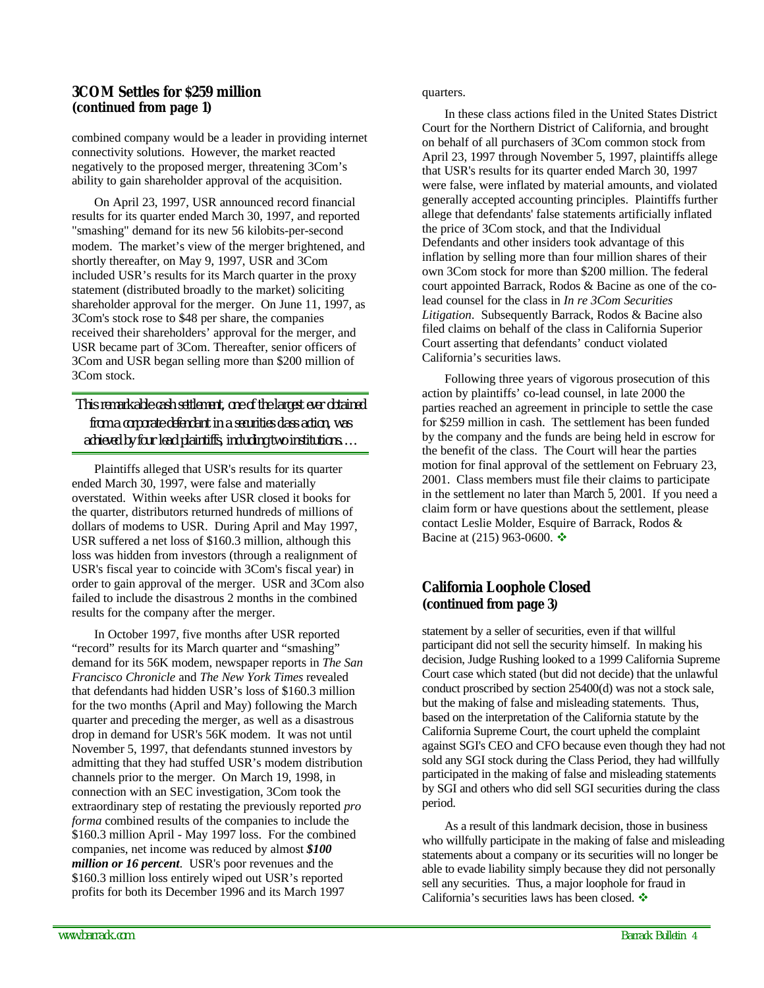#### *3COM Settles for \$259 million (continued from page 1)*

combined company would be a leader in providing internet connectivity solutions. However, the market reacted negatively to the proposed merger, threatening 3Com's ability to gain shareholder approval of the acquisition.

On April 23, 1997, USR announced record financial results for its quarter ended March 30, 1997, and reported "smashing" demand for its new 56 kilobits-per-second modem. The market's view of the merger brightened, and shortly thereafter, on May 9, 1997, USR and 3Com included USR's results for its March quarter in the proxy statement (distributed broadly to the market) soliciting shareholder approval for the merger. On June 11, 1997, as 3Com's stock rose to \$48 per share, the companies received their shareholders' approval for the merger, and USR became part of 3Com. Thereafter, senior officers of 3Com and USR began selling more than \$200 million of 3Com stock.

*This remarkable cash settlement, one of the largest ever obtained from a corporate defendant in a securities class action, was achieved by four lead plaintiffs, including two institutions….*

Plaintiffs alleged that USR's results for its quarter ended March 30, 1997, were false and materially overstated. Within weeks after USR closed it books for the quarter, distributors returned hundreds of millions of dollars of modems to USR. During April and May 1997, USR suffered a net loss of \$160.3 million, although this loss was hidden from investors (through a realignment of USR's fiscal year to coincide with 3Com's fiscal year) in order to gain approval of the merger. USR and 3Com also failed to include the disastrous 2 months in the combined results for the company after the merger.

In October 1997, five months after USR reported "record" results for its March quarter and "smashing" demand for its 56K modem, newspaper reports in *The San Francisco Chronicle* and *The New York Times* revealed that defendants had hidden USR's loss of \$160.3 million for the two months (April and May) following the March quarter and preceding the merger, as well as a disastrous drop in demand for USR's 56K modem. It was not until November 5, 1997, that defendants stunned investors by admitting that they had stuffed USR's modem distribution channels prior to the merger. On March 19, 1998, in connection with an SEC investigation, 3Com took the extraordinary step of restating the previously reported *pro forma* combined results of the companies to include the \$160.3 million April - May 1997 loss. For the combined companies, net income was reduced by almost *\$100 million or 16 percent*. USR's poor revenues and the \$160.3 million loss entirely wiped out USR's reported profits for both its December 1996 and its March 1997

In these class actions filed in the United States District Court for the Northern District of California, and brought on behalf of all purchasers of 3Com common stock from April 23, 1997 through November 5, 1997, plaintiffs allege that USR's results for its quarter ended March 30, 1997 were false, were inflated by material amounts, and violated generally accepted accounting principles. Plaintiffs further allege that defendants' false statements artificially inflated the price of 3Com stock, and that the Individual Defendants and other insiders took advantage of this inflation by selling more than four million shares of their own 3Com stock for more than \$200 million. The federal court appointed Barrack, Rodos & Bacine as one of the colead counsel for the class in *In re 3Com Securities Litigation*. Subsequently Barrack, Rodos & Bacine also filed claims on behalf of the class in California Superior Court asserting that defendants' conduct violated California's securities laws.

Following three years of vigorous prosecution of this action by plaintiffs' co-lead counsel, in late 2000 the parties reached an agreement in principle to settle the case for \$259 million in cash. The settlement has been funded by the company and the funds are being held in escrow for the benefit of the class. The Court will hear the parties motion for final approval of the settlement on February 23, 2001. Class members must file their claims to participate in the settlement no later than March 5, 2001. If you need a claim form or have questions about the settlement, please contact Leslie Molder, Esquire of Barrack, Rodos & Bacine at (215) 963-0600.  $\div$ 

#### *California Loophole Closed (continued from page 3)*

statement by a seller of securities, even if that willful participant did not sell the security himself. In making his decision, Judge Rushing looked to a 1999 California Supreme Court case which stated (but did not decide) that the unlawful conduct proscribed by section 25400(d) was not a stock sale, but the making of false and misleading statements. Thus, based on the interpretation of the California statute by the California Supreme Court, the court upheld the complaint against SGI's CEO and CFO because even though they had not sold any SGI stock during the Class Period, they had willfully participated in the making of false and misleading statements by SGI and others who did sell SGI securities during the class period.

As a result of this landmark decision, those in business who willfully participate in the making of false and misleading statements about a company or its securities will no longer be able to evade liability simply because they did not personally sell any securities. Thus, a major loophole for fraud in California's securities laws has been closed.  $\clubsuit$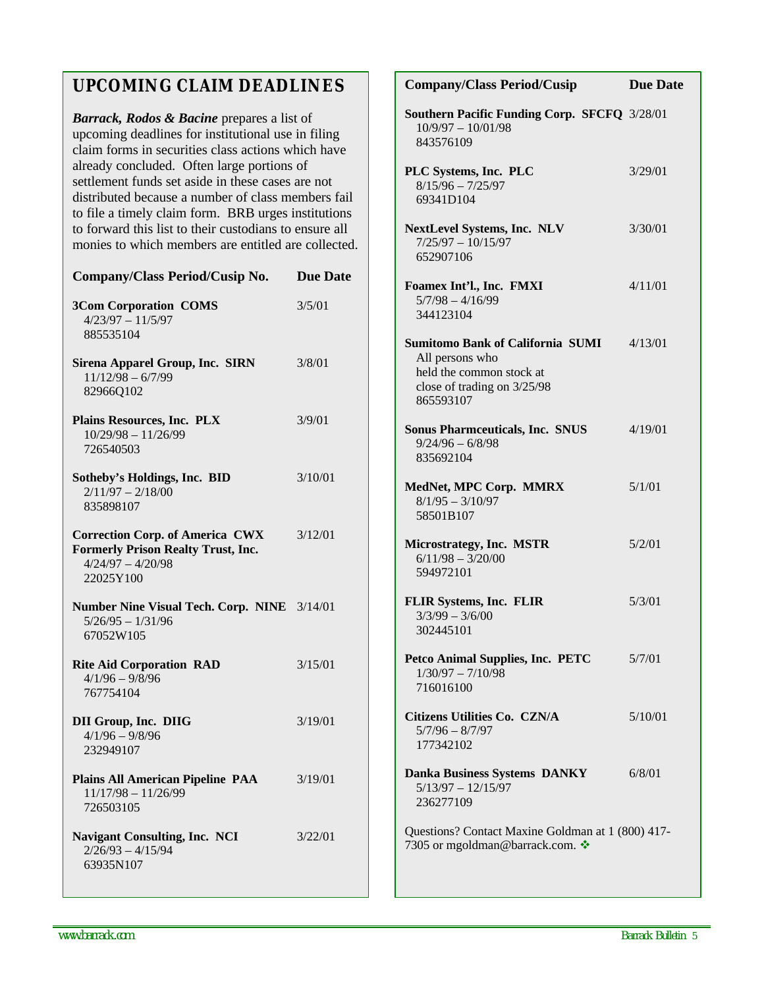### **UPCOMING CLAIM DEADLINES**

*Barrack, Rodos & Bacine* prepares a list of upcoming deadlines for institutional use in filing claim forms in securities class actions which have already concluded. Often large portions of settlement funds set aside in these cases are not distributed because a number of class members fail to file a timely claim form. BRB urges institutions to forward this list to their custodians to ensure all monies to which members are entitled are collected.

| Company/Class Period/Cusip No.                                                                                          | <b>Due Date</b> |
|-------------------------------------------------------------------------------------------------------------------------|-----------------|
| <b>3Com Corporation COMS</b><br>$4/23/97 - 11/5/97$<br>885535104                                                        | 3/5/01          |
| <b>Sirena Apparel Group, Inc. SIRN</b><br>$11/12/98 - 6/7/99$<br>82966Q102                                              | 3/8/01          |
| Plains Resources, Inc. PLX<br>$10/29/98 - 11/26/99$<br>726540503                                                        | 3/9/01          |
| Sotheby's Holdings, Inc. BID<br>$2/11/97 - 2/18/00$<br>835898107                                                        | 3/10/01         |
| <b>Correction Corp. of America CWX</b><br><b>Formerly Prison Realty Trust, Inc.</b><br>$4/24/97 - 4/20/98$<br>22025Y100 | 3/12/01         |
| Number Nine Visual Tech. Corp. NINE 3/14/01<br>$5/26/95 - 1/31/96$<br>67052W105                                         |                 |
| <b>Rite Aid Corporation RAD</b><br>$4/1/96 - 9/8/96$<br>767754104                                                       | 3/15/01         |
| <b>DII Group, Inc. DIIG</b><br>$4/1/96 - 9/8/96$<br>232949107                                                           | 3/19/01         |
| <b>Plains All American Pipeline PAA</b><br>$11/17/98 - 11/26/99$<br>726503105                                           | 3/19/01         |
| <b>Navigant Consulting, Inc. NCI</b><br>$2/26/93 - 4/15/94$<br>63935N107                                                | 3/22/01         |

| <b>Company/Class Period/Cusip</b>                                                                                                  | <b>Due Date</b> |  |
|------------------------------------------------------------------------------------------------------------------------------------|-----------------|--|
| Southern Pacific Funding Corp. SFCFQ 3/28/01<br>$10/9/97 - 10/01/98$<br>843576109                                                  |                 |  |
| PLC Systems, Inc. PLC<br>$8/15/96 - 7/25/97$<br>69341D104                                                                          | 3/29/01         |  |
| <b>NextLevel Systems, Inc. NLV</b><br>$7/25/97 - 10/15/97$<br>652907106                                                            | 3/30/01         |  |
| Foamex Int'l., Inc. FMXI<br>$5/7/98 - 4/16/99$<br>344123104                                                                        | 4/11/01         |  |
| <b>Sumitomo Bank of California SUMI</b><br>All persons who<br>held the common stock at<br>close of trading on 3/25/98<br>865593107 | 4/13/01         |  |
| <b>Sonus Pharmceuticals, Inc. SNUS</b><br>$9/24/96 - 6/8/98$<br>835692104                                                          | 4/19/01         |  |
| MedNet, MPC Corp. MMRX<br>$8/1/95 - 3/10/97$<br>58501B107                                                                          | 5/1/01          |  |
| Microstrategy, Inc. MSTR<br>$6/11/98 - 3/20/00$<br>594972101                                                                       | 5/2/01          |  |
| <b>FLIR Systems, Inc. FLIR</b><br>$3/3/99 - 3/6/00$<br>302445101                                                                   | 5/3/01          |  |
| <b>Petco Animal Supplies, Inc. PETC</b><br>$1/30/97 - 7/10/98$<br>716016100                                                        | 5/7/01          |  |
| Citizens Utilities Co. CZN/A<br>$5/7/96 - 8/7/97$<br>177342102                                                                     | 5/10/01         |  |
| <b>Danka Business Systems DANKY</b><br>$5/13/97 - 12/15/97$<br>236277109                                                           | 6/8/01          |  |
| Questions? Contact Maxine Goldman at 1 (800) 417-<br>7305 or mgoldman@barrack.com. ❖                                               |                 |  |